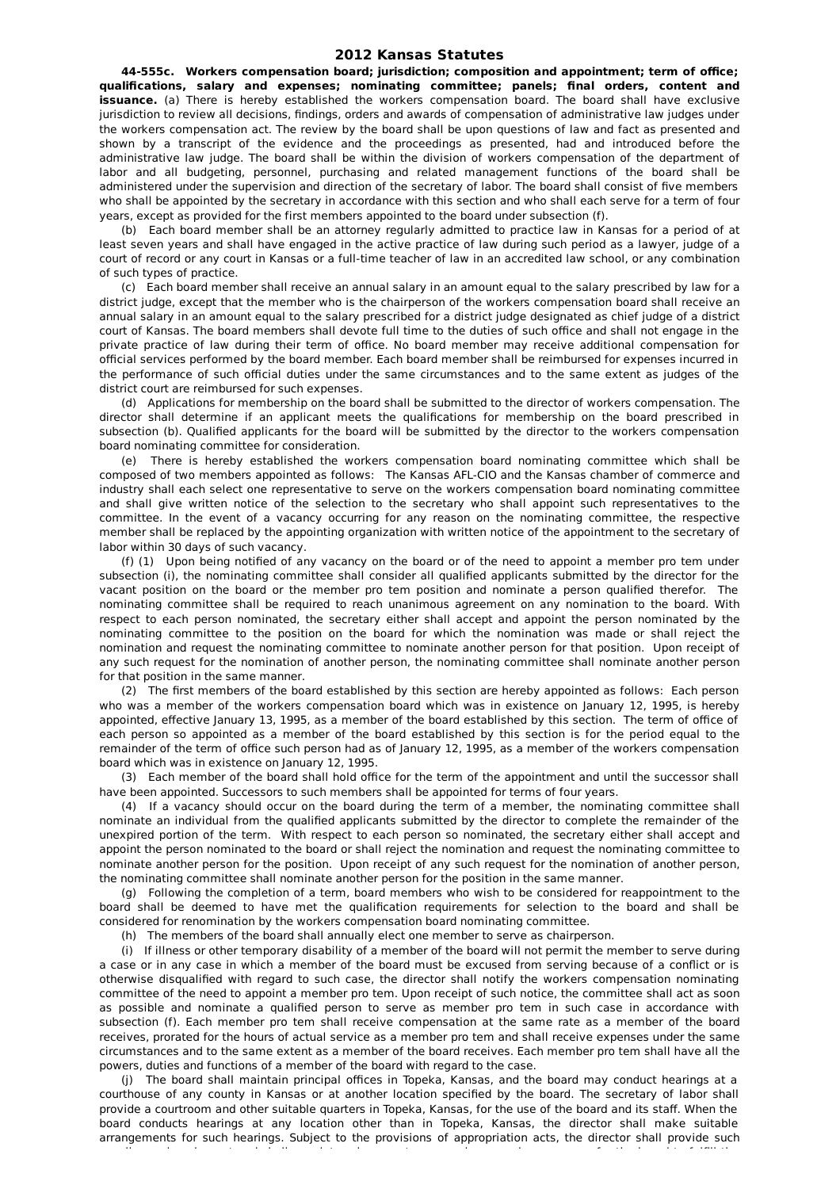## **2012 Kansas Statutes**

**44-555c. Workers compensation board; jurisdiction; composition and appointment; term of office; qualifications, salary and expenses; nominating committee; panels; final orders, content and issuance.** (a) There is hereby established the workers compensation board. The board shall have exclusive jurisdiction to review all decisions, findings, orders and awards of compensation of administrative law judges under the workers compensation act. The review by the board shall be upon questions of law and fact as presented and shown by a transcript of the evidence and the proceedings as presented, had and introduced before the administrative law judge. The board shall be within the division of workers compensation of the department of labor and all budgeting, personnel, purchasing and related management functions of the board shall be administered under the supervision and direction of the secretary of labor. The board shall consist of five members who shall be appointed by the secretary in accordance with this section and who shall each serve for a term of four years, except as provided for the first members appointed to the board under subsection (f).

(b) Each board member shall be an attorney regularly admitted to practice law in Kansas for a period of at least seven years and shall have engaged in the active practice of law during such period as a lawyer, judge of a court of record or any court in Kansas or a full-time teacher of law in an accredited law school, or any combination of such types of practice.

(c) Each board member shall receive an annual salary in an amount equal to the salary prescribed by law for a district judge, except that the member who is the chairperson of the workers compensation board shall receive an annual salary in an amount equal to the salary prescribed for a district judge designated as chief judge of a district court of Kansas. The board members shall devote full time to the duties of such office and shall not engage in the private practice of law during their term of office. No board member may receive additional compensation for official services performed by the board member. Each board member shall be reimbursed for expenses incurred in the performance of such official duties under the same circumstances and to the same extent as judges of the district court are reimbursed for such expenses.

(d) Applications for membership on the board shall be submitted to the director of workers compensation. The director shall determine if an applicant meets the qualifications for membership on the board prescribed in subsection (b). Qualified applicants for the board will be submitted by the director to the workers compensation board nominating committee for consideration.

(e) There is hereby established the workers compensation board nominating committee which shall be composed of two members appointed as follows: The Kansas AFL-CIO and the Kansas chamber of commerce and industry shall each select one representative to serve on the workers compensation board nominating committee and shall give written notice of the selection to the secretary who shall appoint such representatives to the committee. In the event of a vacancy occurring for any reason on the nominating committee, the respective member shall be replaced by the appointing organization with written notice of the appointment to the secretary of labor within 30 days of such vacancy.

(f) (1) Upon being notified of any vacancy on the board or of the need to appoint a member pro tem under subsection (i), the nominating committee shall consider all qualified applicants submitted by the director for the vacant position on the board or the member pro tem position and nominate a person qualified therefor. The nominating committee shall be required to reach unanimous agreement on any nomination to the board. With respect to each person nominated, the secretary either shall accept and appoint the person nominated by the nominating committee to the position on the board for which the nomination was made or shall reject the nomination and request the nominating committee to nominate another person for that position. Upon receipt of any such request for the nomination of another person, the nominating committee shall nominate another person for that position in the same manner.

(2) The first members of the board established by this section are hereby appointed as follows: Each person who was a member of the workers compensation board which was in existence on January 12, 1995, is hereby appointed, effective January 13, 1995, as a member of the board established by this section. The term of office of each person so appointed as a member of the board established by this section is for the period equal to the remainder of the term of office such person had as of January 12, 1995, as a member of the workers compensation board which was in existence on January 12, 1995.

(3) Each member of the board shall hold office for the term of the appointment and until the successor shall have been appointed. Successors to such members shall be appointed for terms of four years.

(4) If a vacancy should occur on the board during the term of a member, the nominating committee shall nominate an individual from the qualified applicants submitted by the director to complete the remainder of the unexpired portion of the term. With respect to each person so nominated, the secretary either shall accept and appoint the person nominated to the board or shall reject the nomination and request the nominating committee to nominate another person for the position. Upon receipt of any such request for the nomination of another person, the nominating committee shall nominate another person for the position in the same manner.

(g) Following the completion of a term, board members who wish to be considered for reappointment to the board shall be deemed to have met the qualification requirements for selection to the board and shall be considered for renomination by the workers compensation board nominating committee.

(h) The members of the board shall annually elect one member to serve as chairperson.

(i) If illness or other temporary disability of a member of the board will not permit the member to serve during a case or in any case in which a member of the board must be excused from serving because of a conflict or is otherwise disqualified with regard to such case, the director shall notify the workers compensation nominating committee of the need to appoint a member pro tem. Upon receipt of such notice, the committee shall act as soon as possible and nominate a qualified person to serve as member pro tem in such case in accordance with subsection (f). Each member pro tem shall receive compensation at the same rate as a member of the board receives, prorated for the hours of actual service as a member pro tem and shall receive expenses under the same circumstances and to the same extent as a member of the board receives. Each member pro tem shall have all the powers, duties and functions of a member of the board with regard to the case.

(j) The board shall maintain principal offices in Topeka, Kansas, and the board may conduct hearings at a courthouse of any county in Kansas or at another location specified by the board. The secretary of labor shall provide a courtroom and other suitable quarters in Topeka, Kansas, for the use of the board and its staff. When the board conducts hearings at any location other than in Topeka, Kansas, the director shall make suitable arrangements for such hearings. Subject to the provisions of appropriation acts, the director shall provide such

supplies and equipment and shall appoint such support personnel as may be necessary for the board to fulfill the